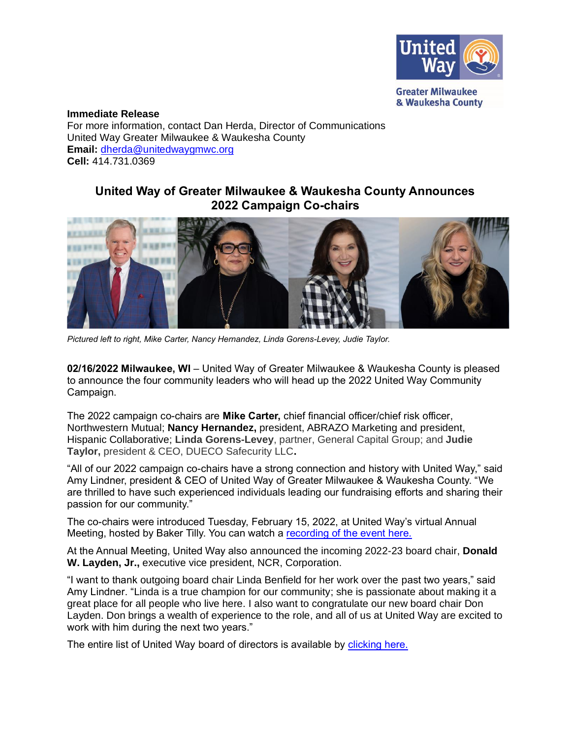

**Immediate Release** For more information, contact Dan Herda, Director of Communications United Way Greater Milwaukee & Waukesha County **Email:** [dherda@unitedwaygmwc.org](mailto:dherda@unitedwaygmwc.org) **Cell:** 414.731.0369

## **United Way of Greater Milwaukee & Waukesha County Announces 2022 Campaign Co-chairs**



*Pictured left to right, Mike Carter, Nancy Hernandez, Linda Gorens-Levey, Judie Taylor.*

**02/16/2022 Milwaukee, WI** – United Way of Greater Milwaukee & Waukesha County is pleased to announce the four community leaders who will head up the 2022 United Way Community Campaign.

The 2022 campaign co-chairs are **Mike Carter,** chief financial officer/chief risk officer, Northwestern Mutual; **Nancy Hernandez,** president, ABRAZO Marketing and president, Hispanic Collaborative; **Linda Gorens-Levey**, partner, General Capital Group; and **Judie Taylor,** president & CEO, DUECO Safecurity LLC**.**

"All of our 2022 campaign co-chairs have a strong connection and history with United Way," said Amy Lindner, president & CEO of United Way of Greater Milwaukee & Waukesha County. "We are thrilled to have such experienced individuals leading our fundraising efforts and sharing their passion for our community."

The co-chairs were introduced Tuesday, February 15, 2022, at United Way's virtual Annual Meeting, hosted by Baker Tilly. You can watch a [recording of the event here.](https://unitedwaygmwc.org/2022-Annual-Meeting)

At the Annual Meeting, United Way also announced the incoming 2022-23 board chair, **Donald W. Layden, Jr.,** executive vice president, NCR, Corporation.

"I want to thank outgoing board chair Linda Benfield for her work over the past two years," said Amy Lindner. "Linda is a true champion for our community; she is passionate about making it a great place for all people who live here. I also want to congratulate our new board chair Don Layden. Don brings a wealth of experience to the role, and all of us at United Way are excited to work with him during the next two years."

The entire list of United Way board of directors is available by [clicking here.](https://unitedwaygmwc.org/Board-of-Directors)